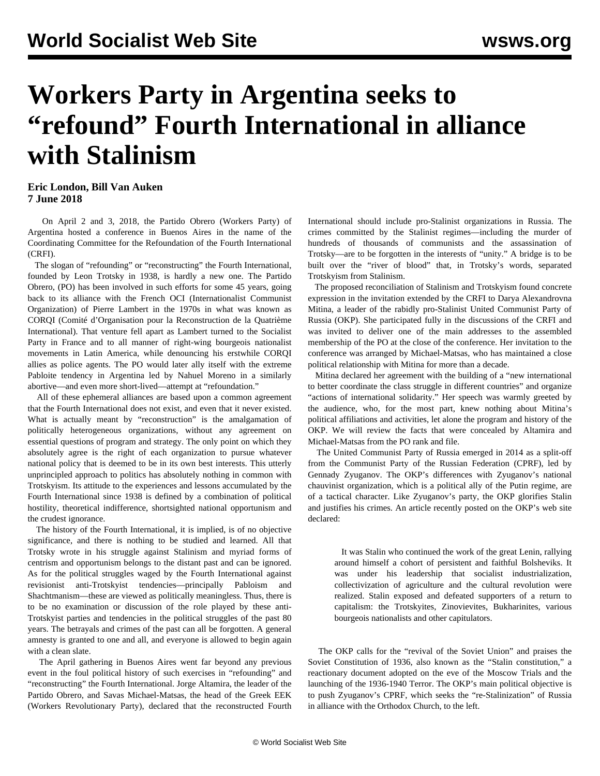# **Workers Party in Argentina seeks to "refound" Fourth International in alliance with Stalinism**

### **Eric London, Bill Van Auken 7 June 2018**

 On April 2 and 3, 2018, the Partido Obrero (Workers Party) of Argentina hosted a conference in Buenos Aires in the name of the Coordinating Committee for the Refoundation of the Fourth International (CRFI).

 The slogan of "refounding" or "reconstructing" the Fourth International, founded by Leon Trotsky in 1938, is hardly a new one. The Partido Obrero, (PO) has been involved in such efforts for some 45 years, going back to its alliance with the French OCI (Internationalist Communist Organization) of Pierre Lambert in the 1970s in what was known as CORQI (Comité d'Organisation pour la Reconstruction de la Quatrième International). That venture fell apart as Lambert turned to the Socialist Party in France and to all manner of right-wing bourgeois nationalist movements in Latin America, while denouncing his erstwhile CORQI allies as police agents. The PO would later ally itself with the extreme Pabloite tendency in Argentina led by Nahuel Moreno in a similarly abortive—and even more short-lived—attempt at "refoundation."

 All of these ephemeral alliances are based upon a common agreement that the Fourth International does not exist, and even that it never existed. What is actually meant by "reconstruction" is the amalgamation of politically heterogeneous organizations, without any agreement on essential questions of program and strategy. The only point on which they absolutely agree is the right of each organization to pursue whatever national policy that is deemed to be in its own best interests. This utterly unprincipled approach to politics has absolutely nothing in common with Trotskyism. Its attitude to the experiences and lessons accumulated by the Fourth International since 1938 is defined by a combination of political hostility, theoretical indifference, shortsighted national opportunism and the crudest ignorance.

 The history of the Fourth International, it is implied, is of no objective significance, and there is nothing to be studied and learned. All that Trotsky wrote in his struggle against Stalinism and myriad forms of centrism and opportunism belongs to the distant past and can be ignored. As for the political struggles waged by the Fourth International against revisionist anti-Trotskyist tendencies—principally Pabloism and Shachtmanism—these are viewed as politically meaningless. Thus, there is to be no examination or discussion of the role played by these anti-Trotskyist parties and tendencies in the political struggles of the past 80 years. The betrayals and crimes of the past can all be forgotten. A general amnesty is granted to one and all, and everyone is allowed to begin again with a clean slate.

 The April gathering in Buenos Aires went far beyond any previous event in the foul political history of such exercises in "refounding" and "reconstructing" the Fourth International. Jorge Altamira, the leader of the Partido Obrero, and Savas Michael-Matsas, the head of the Greek EEK (Workers Revolutionary Party), declared that the reconstructed Fourth International should include pro-Stalinist organizations in Russia. The crimes committed by the Stalinist regimes—including the murder of hundreds of thousands of communists and the assassination of Trotsky—are to be forgotten in the interests of "unity." A bridge is to be built over the "river of blood" that, in Trotsky's words, separated Trotskyism from Stalinism.

 The proposed reconciliation of Stalinism and Trotskyism found concrete expression in the invitation extended by the CRFI to Darya Alexandrovna Mitina, a leader of the rabidly pro-Stalinist United Communist Party of Russia (OKP). She participated fully in the discussions of the CRFI and was invited to deliver one of the main addresses to the assembled membership of the PO at the close of the conference. Her invitation to the conference was arranged by Michael-Matsas, who has maintained a close political relationship with Mitina for more than a decade.

 Mitina declared her agreement with the building of a "new international to better coordinate the class struggle in different countries" and organize "actions of international solidarity." Her speech was warmly greeted by the audience, who, for the most part, knew nothing about Mitina's political affiliations and activities, let alone the program and history of the OKP. We will review the facts that were concealed by Altamira and Michael-Matsas from the PO rank and file.

 The United Communist Party of Russia emerged in 2014 as a split-off from the Communist Party of the Russian Federation (CPRF), led by Gennady Zyuganov. The OKP's differences with Zyuganov's national chauvinist organization, which is a political ally of the Putin regime, are of a tactical character. Like Zyuganov's party, the OKP glorifies Stalin and justifies his crimes. An article recently posted on the OKP's web site declared:

 It was Stalin who continued the work of the great Lenin, rallying around himself a cohort of persistent and faithful Bolsheviks. It was under his leadership that socialist industrialization, collectivization of agriculture and the cultural revolution were realized. Stalin exposed and defeated supporters of a return to capitalism: the Trotskyites, Zinovievites, Bukharinites, various bourgeois nationalists and other capitulators.

 The OKP calls for the "revival of the Soviet Union" and praises the Soviet Constitution of 1936, also known as the "Stalin constitution," a reactionary document adopted on the eve of the Moscow Trials and the launching of the 1936-1940 Terror. The OKP's main political objective is to push Zyuganov's CPRF, which seeks the "re-Stalinization" of Russia in alliance with the Orthodox Church, to the left.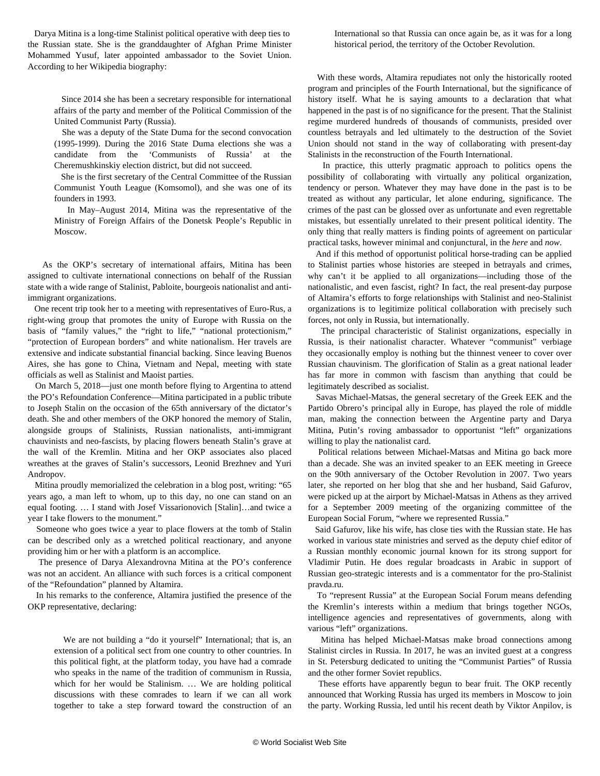Darya Mitina is a long-time Stalinist political operative with deep ties to the Russian state. She is the granddaughter of Afghan Prime Minister Mohammed Yusuf, later appointed ambassador to the Soviet Union. According to her Wikipedia biography:

 Since 2014 she has been a secretary responsible for international affairs of the party and member of the Political Commission of the United Communist Party (Russia).

 She was a deputy of the State Duma for the second convocation (1995-1999). During the 2016 State Duma elections she was a candidate from the 'Communists of Russia' at the Cheremushkinskiy election district, but did not succeed.

 She is the first secretary of the Central Committee of the Russian Communist Youth League (Komsomol), and she was one of its founders in 1993.

 In May–August 2014, Mitina was the representative of the Ministry of Foreign Affairs of the Donetsk People's Republic in Moscow.

 As the OKP's secretary of international affairs, Mitina has been assigned to cultivate international connections on behalf of the Russian state with a wide range of Stalinist, Pabloite, bourgeois nationalist and antiimmigrant organizations.

 One recent trip took her to a meeting with representatives of Euro-Rus, a right-wing group that promotes the unity of Europe with Russia on the basis of "family values," the "right to life," "national protectionism," "protection of European borders" and white nationalism. Her travels are extensive and indicate substantial financial backing. Since leaving Buenos Aires, she has gone to China, Vietnam and Nepal, meeting with state officials as well as Stalinist and Maoist parties.

 On March 5, 2018—just one month before flying to Argentina to attend the PO's Refoundation Conference—Mitina participated in a public tribute to Joseph Stalin on the occasion of the 65th anniversary of the dictator's death. She and other members of the OKP honored the memory of Stalin, alongside groups of Stalinists, Russian nationalists, anti-immigrant chauvinists and neo-fascists, by placing flowers beneath Stalin's grave at the wall of the Kremlin. Mitina and her OKP associates also placed wreathes at the graves of Stalin's successors, Leonid Brezhnev and Yuri Andropov.

 Mitina proudly memorialized the celebration in a blog post, writing: "65 years ago, a man left to whom, up to this day, no one can stand on an equal footing. … I stand with Josef Vissarionovich [Stalin]…and twice a year I take flowers to the monument."

 Someone who goes twice a year to place flowers at the tomb of Stalin can be described only as a wretched political reactionary, and anyone providing him or her with a platform is an accomplice.

 The presence of Darya Alexandrovna Mitina at the PO's conference was not an accident. An alliance with such forces is a critical component of the "Refoundation" planned by Altamira.

 In his remarks to the conference, Altamira justified the presence of the OKP representative, declaring:

 We are not building a "do it yourself" International; that is, an extension of a political sect from one country to other countries. In this political fight, at the platform today, you have had a comrade who speaks in the name of the tradition of communism in Russia, which for her would be Stalinism. … We are holding political discussions with these comrades to learn if we can all work together to take a step forward toward the construction of an

International so that Russia can once again be, as it was for a long historical period, the territory of the October Revolution.

 With these words, Altamira repudiates not only the historically rooted program and principles of the Fourth International, but the significance of history itself. What he is saying amounts to a declaration that what happened in the past is of no significance for the present. That the Stalinist regime murdered hundreds of thousands of communists, presided over countless betrayals and led ultimately to the destruction of the Soviet Union should not stand in the way of collaborating with present-day Stalinists in the reconstruction of the Fourth International.

 In practice, this utterly pragmatic approach to politics opens the possibility of collaborating with virtually any political organization, tendency or person. Whatever they may have done in the past is to be treated as without any particular, let alone enduring, significance. The crimes of the past can be glossed over as unfortunate and even regrettable mistakes, but essentially unrelated to their present political identity. The only thing that really matters is finding points of agreement on particular practical tasks, however minimal and conjunctural, in the *here* and *now*.

 And if this method of opportunist political horse-trading can be applied to Stalinist parties whose histories are steeped in betrayals and crimes, why can't it be applied to all organizations—including those of the nationalistic, and even fascist, right? In fact, the real present-day purpose of Altamira's efforts to forge relationships with Stalinist and neo-Stalinist organizations is to legitimize political collaboration with precisely such forces, not only in Russia, but internationally.

 The principal characteristic of Stalinist organizations, especially in Russia, is their nationalist character. Whatever "communist" verbiage they occasionally employ is nothing but the thinnest veneer to cover over Russian chauvinism. The glorification of Stalin as a great national leader has far more in common with fascism than anything that could be legitimately described as socialist.

 Savas Michael-Matsas, the general secretary of the Greek EEK and the Partido Obrero's principal ally in Europe, has played the role of middle man, making the connection between the Argentine party and Darya Mitina, Putin's roving ambassador to opportunist "left" organizations willing to play the nationalist card.

 Political relations between Michael-Matsas and Mitina go back more than a decade. She was an invited speaker to an EEK meeting in Greece on the 90th anniversary of the October Revolution in 2007. Two years later, she reported on her blog that she and her husband, Said Gafurov, were picked up at the airport by Michael-Matsas in Athens as they arrived for a September 2009 meeting of the organizing committee of the European Social Forum, "where we represented Russia."

 Said Gafurov, like his wife, has close ties with the Russian state. He has worked in various state ministries and served as the deputy chief editor of a Russian monthly economic journal known for its strong support for Vladimir Putin. He does regular broadcasts in Arabic in support of Russian geo-strategic interests and is a commentator for the pro-Stalinist pravda.ru.

 To "represent Russia" at the European Social Forum means defending the Kremlin's interests within a medium that brings together NGOs, intelligence agencies and representatives of governments, along with various "left" organizations.

 Mitina has helped Michael-Matsas make broad connections among Stalinist circles in Russia. In 2017, he was an invited guest at a congress in St. Petersburg dedicated to uniting the "Communist Parties" of Russia and the other former Soviet republics.

 These efforts have apparently begun to bear fruit. The OKP recently announced that Working Russia has urged its members in Moscow to join the party. Working Russia, led until his recent death by Viktor Anpilov, is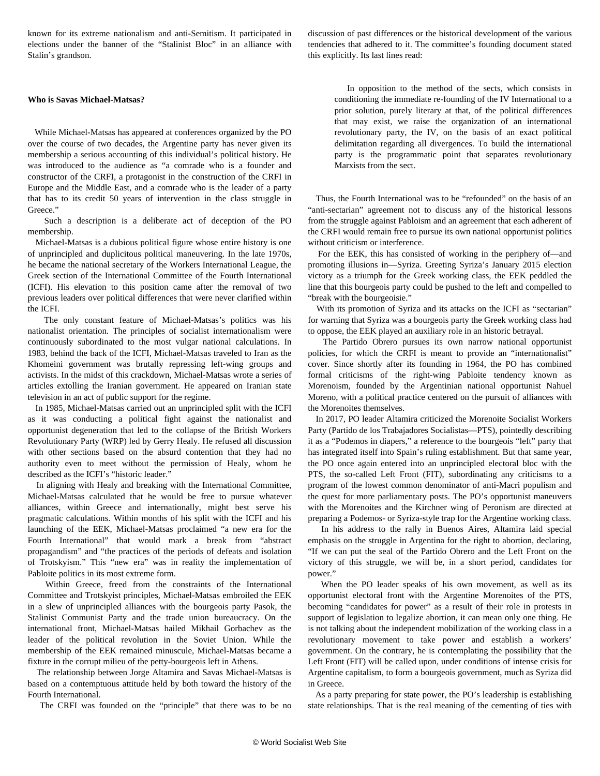known for its extreme nationalism and anti-Semitism. It participated in elections under the banner of the "Stalinist Bloc" in an alliance with Stalin's grandson.

#### **Who is Savas Michael-Matsas?**

 While Michael-Matsas has appeared at conferences organized by the PO over the course of two decades, the Argentine party has never given its membership a serious accounting of this individual's political history. He was introduced to the audience as "a comrade who is a founder and constructor of the CRFI, a protagonist in the construction of the CRFI in Europe and the Middle East, and a comrade who is the leader of a party that has to its credit 50 years of intervention in the class struggle in Greece."

 Such a description is a deliberate act of deception of the PO membership.

 Michael-Matsas is a dubious political figure whose entire history is one of unprincipled and duplicitous political maneuvering. In the late 1970s, he became the national secretary of the Workers International League, the Greek section of the International Committee of the Fourth International (ICFI). His elevation to this position came after the removal of two previous leaders over political differences that were never clarified within the ICFI.

 The only constant feature of Michael-Matsas's politics was his nationalist orientation. The principles of socialist internationalism were continuously subordinated to the most vulgar national calculations. In 1983, behind the back of the ICFI, Michael-Matsas traveled to Iran as the Khomeini government was brutally repressing left-wing groups and activists. In the midst of this crackdown, Michael-Matsas wrote a series of articles extolling the Iranian government. He appeared on Iranian state television in an act of public support for the regime.

 In 1985, Michael-Matsas carried out an unprincipled split with the ICFI as it was conducting a political fight against the nationalist and opportunist degeneration that led to the collapse of the British Workers Revolutionary Party (WRP) led by Gerry Healy. He refused all discussion with other sections based on the absurd contention that they had no authority even to meet without the permission of Healy, whom he described as the ICFI's "historic leader."

 In aligning with Healy and breaking with the International Committee, Michael-Matsas calculated that he would be free to pursue whatever alliances, within Greece and internationally, might best serve his pragmatic calculations. Within months of his split with the ICFI and his launching of the EEK, Michael-Matsas proclaimed "a new era for the Fourth International" that would mark a break from "abstract propagandism" and "the practices of the periods of defeats and isolation of Trotskyism." This "new era" was in reality the implementation of Pabloite politics in its most extreme form.

 Within Greece, freed from the constraints of the International Committee and Trotskyist principles, Michael-Matsas embroiled the EEK in a slew of unprincipled alliances with the bourgeois party Pasok, the Stalinist Communist Party and the trade union bureaucracy. On the international front, Michael-Matsas hailed Mikhail Gorbachev as the leader of the political revolution in the Soviet Union. While the membership of the EEK remained minuscule, Michael-Matsas became a fixture in the corrupt milieu of the petty-bourgeois left in Athens.

 The relationship between Jorge Altamira and Savas Michael-Matsas is based on a contemptuous attitude held by both toward the history of the Fourth International.

The CRFI was founded on the "principle" that there was to be no

discussion of past differences or the historical development of the various tendencies that adhered to it. The committee's founding document stated this explicitly. Its last lines read:

 In opposition to the method of the sects, which consists in conditioning the immediate re-founding of the IV International to a prior solution, purely literary at that, of the political differences that may exist, we raise the organization of an international revolutionary party, the IV, on the basis of an exact political delimitation regarding all divergences. To build the international party is the programmatic point that separates revolutionary Marxists from the sect.

 Thus, the Fourth International was to be "refounded" on the basis of an "anti-sectarian" agreement not to discuss any of the historical lessons from the struggle against Pabloism and an agreement that each adherent of the CRFI would remain free to pursue its own national opportunist politics without criticism or interference.

 For the EEK, this has consisted of working in the periphery of—and promoting illusions in—Syriza. Greeting Syriza's January 2015 election victory as a triumph for the Greek working class, the EEK peddled the line that this bourgeois party could be pushed to the left and compelled to "break with the bourgeoisie."

 With its promotion of Syriza and its attacks on the ICFI as "sectarian" for warning that Syriza was a bourgeois party the Greek working class had to oppose, the EEK played an auxiliary role in an [historic betrayal](/en/articles/2015/11/13/icfi-n13.html).

 The Partido Obrero pursues its own narrow national opportunist policies, for which the CRFI is meant to provide an "internationalist" cover. Since shortly after its founding in 1964, the PO has combined formal criticisms of the right-wing Pabloite tendency known as Morenoism, founded by the Argentinian national opportunist Nahuel Moreno, with a political practice centered on the pursuit of alliances with the Morenoites themselves.

 In 2017, PO leader Altamira criticized the Morenoite Socialist Workers Party (Partido de los Trabajadores Socialistas—PTS), pointedly describing it as a "[Podemos in diapers,](/en/articles/2017/07/20/arge-j20.html)" a reference to the bourgeois "left" party that has integrated itself into Spain's ruling establishment. But that same year, the PO once again entered into an unprincipled electoral bloc with the PTS, the so-called Left Front (FIT), subordinating any criticisms to a program of the lowest common denominator of anti-Macri populism and the quest for more parliamentary posts. The PO's opportunist maneuvers with the Morenoites and the Kirchner wing of Peronism are directed at preparing a Podemos- or Syriza-style trap for the Argentine working class.

 In his address to the rally in Buenos Aires, Altamira laid special emphasis on the struggle in Argentina for the right to abortion, declaring, "If we can put the seal of the Partido Obrero and the Left Front on the victory of this struggle, we will be, in a short period, candidates for power."

 When the PO leader speaks of his own movement, as well as its opportunist electoral front with the Argentine Morenoites of the PTS, becoming "candidates for power" as a result of their role in protests in support of legislation to legalize abortion, it can mean only one thing. He is not talking about the independent mobilization of the working class in a revolutionary movement to take power and establish a workers' government. On the contrary, he is contemplating the possibility that the Left Front (FIT) will be called upon, under conditions of intense crisis for Argentine capitalism, to form a bourgeois government, much as Syriza did in Greece.

 As a party preparing for state power, the PO's leadership is establishing state relationships. That is the real meaning of the cementing of ties with